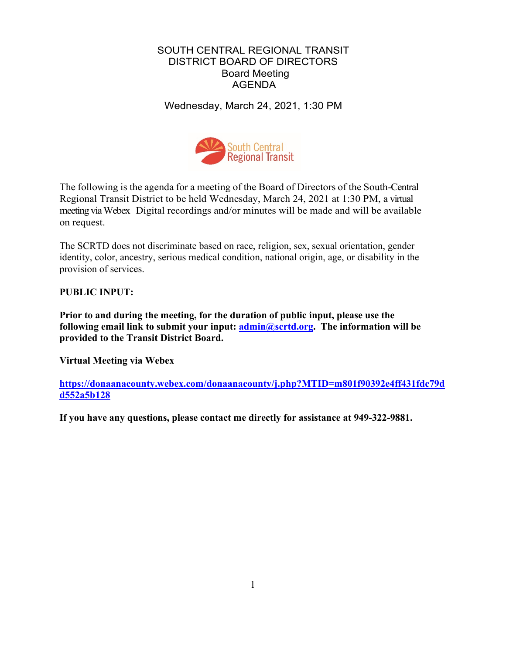### SOUTH CENTRAL REGIONAL TRANSIT DISTRICT BOARD OF DIRECTORS Board Meeting AGENDA

Wednesday, March 24, 2021, 1:30 PM



The following is the agenda for a meeting of the Board of Directors of the South-Central Regional Transit District to be held Wednesday, March 24, 2021 at 1:30 PM, a virtual meeting via Webex Digital recordings and/or minutes will be made and will be available on request.

The SCRTD does not discriminate based on race, religion, sex, sexual orientation, gender identity, color, ancestry, serious medical condition, national origin, age, or disability in the provision of services.

**PUBLIC INPUT:**

**Prior to and during the meeting, for the duration of public input, please use the following email link to submit your input: [admin@scrtd.org.](mailto:admin@scrtd.org) The information will be provided to the Transit District Board.**

**Virtual Meeting via Webex**

**[https://donaanacounty.webex.com/donaanacounty/j.php?MTID=m801f90392e4ff431fdc79d](https://donaanacounty.webex.com/donaanacounty/j.php?MTID=m801f90392e4ff431fdc79dd552a5b128) [d552a5b128](https://donaanacounty.webex.com/donaanacounty/j.php?MTID=m801f90392e4ff431fdc79dd552a5b128)**

**If you have any questions, please contact me directly for assistance at 949-322-9881.**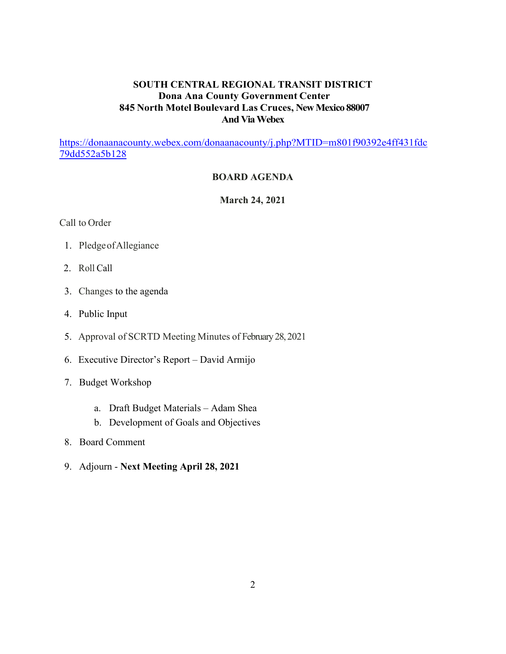## **SOUTH CENTRAL REGIONAL TRANSIT DISTRICT Dona Ana County Government Center 845 North Motel Boulevard Las Cruces, New Mexico 88007 And ViaWebex**

[https://donaanacounty.webex.com/donaanacounty/j.php?MTID=m801f90392e4ff431fdc](https://donaanacounty.webex.com/donaanacounty/j.php?MTID=m801f90392e4ff431fdc79dd552a5b128) [79dd552a5b128](https://donaanacounty.webex.com/donaanacounty/j.php?MTID=m801f90392e4ff431fdc79dd552a5b128)

### **BOARD AGENDA**

**March 24, 2021**

Call to Order

- 1. PledgeofAllegiance
- 2. Roll Call
- 3. Changes to the agenda
- 4. Public Input
- 5. Approval of SCRTD Meeting Minutes of February28, 2021
- 6. Executive Director's Report David Armijo
- 7. Budget Workshop
	- a. Draft Budget Materials Adam Shea
	- b. Development of Goals and Objectives
- 8. Board Comment
- 9. Adjourn **Next Meeting April 28, 2021**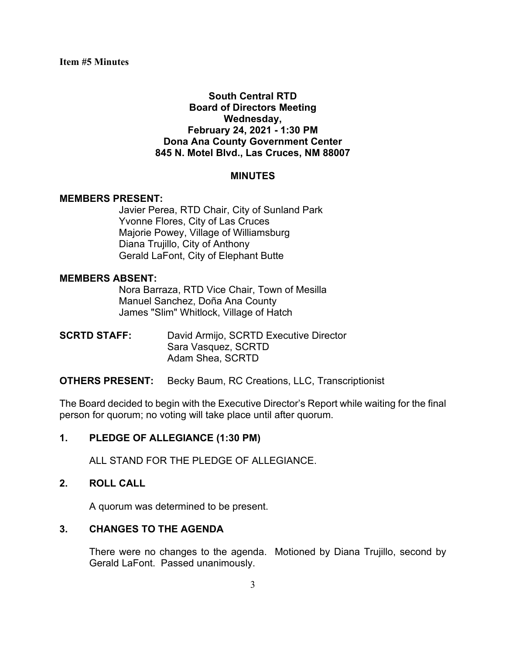## **South Central RTD Board of Directors Meeting Wednesday, February 24, 2021 - 1:30 PM Dona Ana County Government Center 845 N. Motel Blvd., Las Cruces, NM 88007**

#### **MINUTES**

#### **MEMBERS PRESENT:**

Javier Perea, RTD Chair, City of Sunland Park Yvonne Flores, City of Las Cruces Majorie Powey, Village of Williamsburg Diana Trujillo, City of Anthony Gerald LaFont, City of Elephant Butte

#### **MEMBERS ABSENT:**

Nora Barraza, RTD Vice Chair, Town of Mesilla Manuel Sanchez, Doña Ana County James "Slim" Whitlock, Village of Hatch

**SCRTD STAFF:** David Armijo, SCRTD Executive Director Sara Vasquez, SCRTD Adam Shea, SCRTD

### **OTHERS PRESENT:** Becky Baum, RC Creations, LLC, Transcriptionist

The Board decided to begin with the Executive Director's Report while waiting for the final person for quorum; no voting will take place until after quorum.

### **1. PLEDGE OF ALLEGIANCE (1:30 PM)**

ALL STAND FOR THE PLEDGE OF ALLEGIANCE.

### **2. ROLL CALL**

A quorum was determined to be present.

### **3. CHANGES TO THE AGENDA**

There were no changes to the agenda. Motioned by Diana Trujillo, second by Gerald LaFont. Passed unanimously.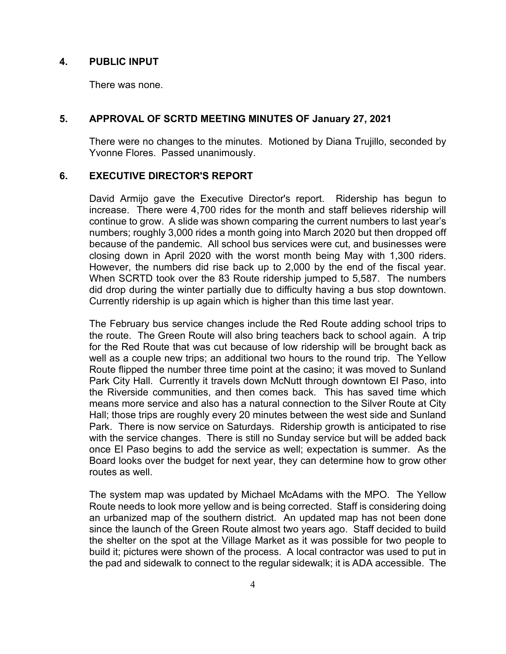### **4. PUBLIC INPUT**

There was none.

### **5. APPROVAL OF SCRTD MEETING MINUTES OF January 27, 2021**

There were no changes to the minutes. Motioned by Diana Trujillo, seconded by Yvonne Flores. Passed unanimously.

## **6. EXECUTIVE DIRECTOR'S REPORT**

David Armijo gave the Executive Director's report. Ridership has begun to increase. There were 4,700 rides for the month and staff believes ridership will continue to grow. A slide was shown comparing the current numbers to last year's numbers; roughly 3,000 rides a month going into March 2020 but then dropped off because of the pandemic. All school bus services were cut, and businesses were closing down in April 2020 with the worst month being May with 1,300 riders. However, the numbers did rise back up to 2,000 by the end of the fiscal year. When SCRTD took over the 83 Route ridership jumped to 5,587. The numbers did drop during the winter partially due to difficulty having a bus stop downtown. Currently ridership is up again which is higher than this time last year.

The February bus service changes include the Red Route adding school trips to the route. The Green Route will also bring teachers back to school again. A trip for the Red Route that was cut because of low ridership will be brought back as well as a couple new trips; an additional two hours to the round trip. The Yellow Route flipped the number three time point at the casino; it was moved to Sunland Park City Hall. Currently it travels down McNutt through downtown El Paso, into the Riverside communities, and then comes back. This has saved time which means more service and also has a natural connection to the Silver Route at City Hall; those trips are roughly every 20 minutes between the west side and Sunland Park. There is now service on Saturdays. Ridership growth is anticipated to rise with the service changes. There is still no Sunday service but will be added back once El Paso begins to add the service as well; expectation is summer. As the Board looks over the budget for next year, they can determine how to grow other routes as well.

The system map was updated by Michael McAdams with the MPO. The Yellow Route needs to look more yellow and is being corrected. Staff is considering doing an urbanized map of the southern district. An updated map has not been done since the launch of the Green Route almost two years ago. Staff decided to build the shelter on the spot at the Village Market as it was possible for two people to build it; pictures were shown of the process. A local contractor was used to put in the pad and sidewalk to connect to the regular sidewalk; it is ADA accessible. The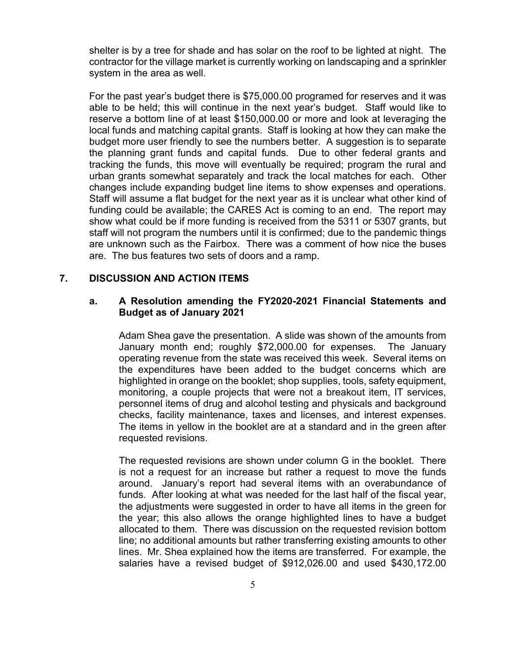shelter is by a tree for shade and has solar on the roof to be lighted at night. The contractor for the village market is currently working on landscaping and a sprinkler system in the area as well.

For the past year's budget there is \$75,000.00 programed for reserves and it was able to be held; this will continue in the next year's budget. Staff would like to reserve a bottom line of at least \$150,000.00 or more and look at leveraging the local funds and matching capital grants. Staff is looking at how they can make the budget more user friendly to see the numbers better. A suggestion is to separate the planning grant funds and capital funds. Due to other federal grants and tracking the funds, this move will eventually be required; program the rural and urban grants somewhat separately and track the local matches for each. Other changes include expanding budget line items to show expenses and operations. Staff will assume a flat budget for the next year as it is unclear what other kind of funding could be available; the CARES Act is coming to an end. The report may show what could be if more funding is received from the 5311 or 5307 grants, but staff will not program the numbers until it is confirmed; due to the pandemic things are unknown such as the Fairbox. There was a comment of how nice the buses are. The bus features two sets of doors and a ramp.

### **7. DISCUSSION AND ACTION ITEMS**

#### **a. A Resolution amending the FY2020-2021 Financial Statements and Budget as of January 2021**

Adam Shea gave the presentation. A slide was shown of the amounts from January month end; roughly \$72,000.00 for expenses. The January operating revenue from the state was received this week. Several items on the expenditures have been added to the budget concerns which are highlighted in orange on the booklet; shop supplies, tools, safety equipment, monitoring, a couple projects that were not a breakout item, IT services, personnel items of drug and alcohol testing and physicals and background checks, facility maintenance, taxes and licenses, and interest expenses. The items in yellow in the booklet are at a standard and in the green after requested revisions.

The requested revisions are shown under column G in the booklet. There is not a request for an increase but rather a request to move the funds around. January's report had several items with an overabundance of funds. After looking at what was needed for the last half of the fiscal year, the adjustments were suggested in order to have all items in the green for the year; this also allows the orange highlighted lines to have a budget allocated to them. There was discussion on the requested revision bottom line; no additional amounts but rather transferring existing amounts to other lines. Mr. Shea explained how the items are transferred. For example, the salaries have a revised budget of \$912,026.00 and used \$430,172.00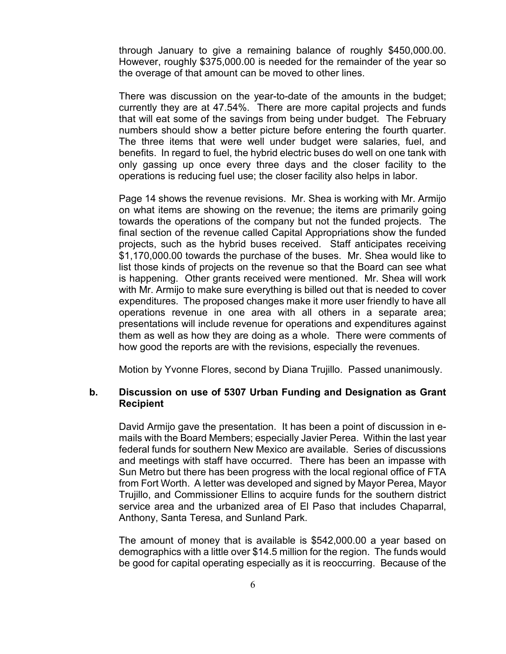through January to give a remaining balance of roughly \$450,000.00. However, roughly \$375,000.00 is needed for the remainder of the year so the overage of that amount can be moved to other lines.

There was discussion on the year-to-date of the amounts in the budget; currently they are at 47.54%. There are more capital projects and funds that will eat some of the savings from being under budget. The February numbers should show a better picture before entering the fourth quarter. The three items that were well under budget were salaries, fuel, and benefits. In regard to fuel, the hybrid electric buses do well on one tank with only gassing up once every three days and the closer facility to the operations is reducing fuel use; the closer facility also helps in labor.

Page 14 shows the revenue revisions. Mr. Shea is working with Mr. Armijo on what items are showing on the revenue; the items are primarily going towards the operations of the company but not the funded projects. The final section of the revenue called Capital Appropriations show the funded projects, such as the hybrid buses received. Staff anticipates receiving \$1,170,000.00 towards the purchase of the buses. Mr. Shea would like to list those kinds of projects on the revenue so that the Board can see what is happening. Other grants received were mentioned. Mr. Shea will work with Mr. Armijo to make sure everything is billed out that is needed to cover expenditures. The proposed changes make it more user friendly to have all operations revenue in one area with all others in a separate area; presentations will include revenue for operations and expenditures against them as well as how they are doing as a whole. There were comments of how good the reports are with the revisions, especially the revenues.

Motion by Yvonne Flores, second by Diana Trujillo. Passed unanimously.

#### **b. Discussion on use of 5307 Urban Funding and Designation as Grant Recipient**

David Armijo gave the presentation. It has been a point of discussion in emails with the Board Members; especially Javier Perea. Within the last year federal funds for southern New Mexico are available. Series of discussions and meetings with staff have occurred. There has been an impasse with Sun Metro but there has been progress with the local regional office of FTA from Fort Worth. A letter was developed and signed by Mayor Perea, Mayor Trujillo, and Commissioner Ellins to acquire funds for the southern district service area and the urbanized area of El Paso that includes Chaparral, Anthony, Santa Teresa, and Sunland Park.

The amount of money that is available is \$542,000.00 a year based on demographics with a little over \$14.5 million for the region. The funds would be good for capital operating especially as it is reoccurring. Because of the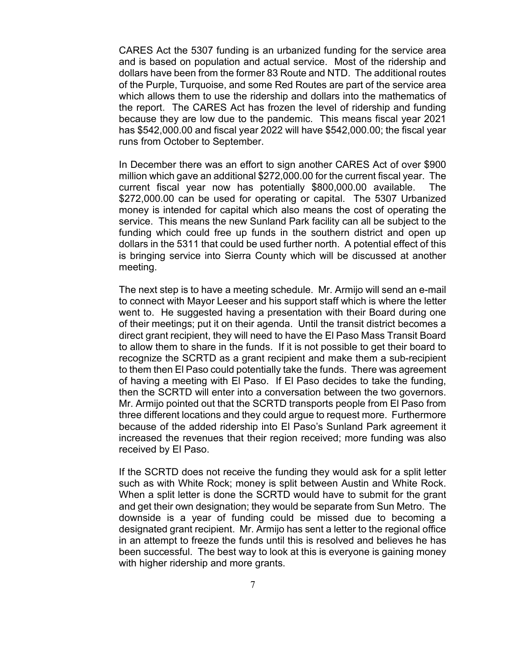CARES Act the 5307 funding is an urbanized funding for the service area and is based on population and actual service. Most of the ridership and dollars have been from the former 83 Route and NTD. The additional routes of the Purple, Turquoise, and some Red Routes are part of the service area which allows them to use the ridership and dollars into the mathematics of the report. The CARES Act has frozen the level of ridership and funding because they are low due to the pandemic. This means fiscal year 2021 has \$542,000.00 and fiscal year 2022 will have \$542,000.00; the fiscal year runs from October to September.

In December there was an effort to sign another CARES Act of over \$900 million which gave an additional \$272,000.00 for the current fiscal year. The current fiscal year now has potentially \$800,000.00 available. The \$272,000.00 can be used for operating or capital. The 5307 Urbanized money is intended for capital which also means the cost of operating the service. This means the new Sunland Park facility can all be subject to the funding which could free up funds in the southern district and open up dollars in the 5311 that could be used further north. A potential effect of this is bringing service into Sierra County which will be discussed at another meeting.

The next step is to have a meeting schedule. Mr. Armijo will send an e-mail to connect with Mayor Leeser and his support staff which is where the letter went to. He suggested having a presentation with their Board during one of their meetings; put it on their agenda. Until the transit district becomes a direct grant recipient, they will need to have the El Paso Mass Transit Board to allow them to share in the funds. If it is not possible to get their board to recognize the SCRTD as a grant recipient and make them a sub-recipient to them then El Paso could potentially take the funds. There was agreement of having a meeting with El Paso. If El Paso decides to take the funding, then the SCRTD will enter into a conversation between the two governors. Mr. Armijo pointed out that the SCRTD transports people from El Paso from three different locations and they could argue to request more. Furthermore because of the added ridership into El Paso's Sunland Park agreement it increased the revenues that their region received; more funding was also received by El Paso.

If the SCRTD does not receive the funding they would ask for a split letter such as with White Rock; money is split between Austin and White Rock. When a split letter is done the SCRTD would have to submit for the grant and get their own designation; they would be separate from Sun Metro. The downside is a year of funding could be missed due to becoming a designated grant recipient. Mr. Armijo has sent a letter to the regional office in an attempt to freeze the funds until this is resolved and believes he has been successful. The best way to look at this is everyone is gaining money with higher ridership and more grants.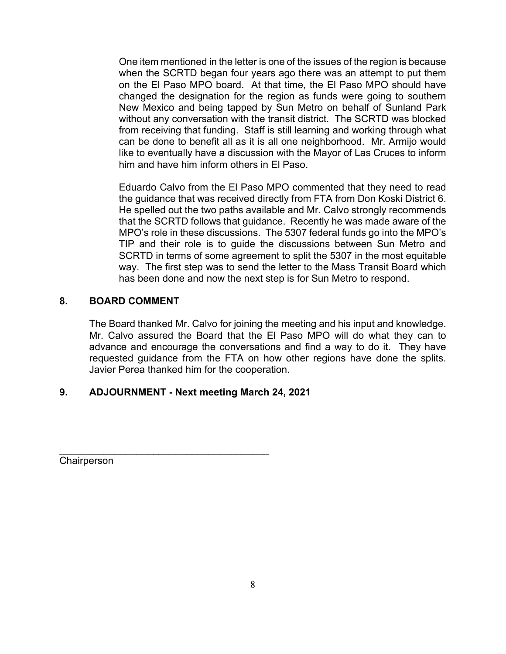One item mentioned in the letter is one of the issues of the region is because when the SCRTD began four years ago there was an attempt to put them on the El Paso MPO board. At that time, the El Paso MPO should have changed the designation for the region as funds were going to southern New Mexico and being tapped by Sun Metro on behalf of Sunland Park without any conversation with the transit district. The SCRTD was blocked from receiving that funding. Staff is still learning and working through what can be done to benefit all as it is all one neighborhood. Mr. Armijo would like to eventually have a discussion with the Mayor of Las Cruces to inform him and have him inform others in El Paso.

Eduardo Calvo from the El Paso MPO commented that they need to read the guidance that was received directly from FTA from Don Koski District 6. He spelled out the two paths available and Mr. Calvo strongly recommends that the SCRTD follows that guidance. Recently he was made aware of the MPO's role in these discussions. The 5307 federal funds go into the MPO's TIP and their role is to guide the discussions between Sun Metro and SCRTD in terms of some agreement to split the 5307 in the most equitable way. The first step was to send the letter to the Mass Transit Board which has been done and now the next step is for Sun Metro to respond.

## **8. BOARD COMMENT**

The Board thanked Mr. Calvo for joining the meeting and his input and knowledge. Mr. Calvo assured the Board that the El Paso MPO will do what they can to advance and encourage the conversations and find a way to do it. They have requested guidance from the FTA on how other regions have done the splits. Javier Perea thanked him for the cooperation.

# **9. ADJOURNMENT - Next meeting March 24, 2021**

\_\_\_\_\_\_\_\_\_\_\_\_\_\_\_\_\_\_\_\_\_\_\_\_\_\_\_\_\_\_\_\_\_\_\_\_\_\_ **Chairperson**